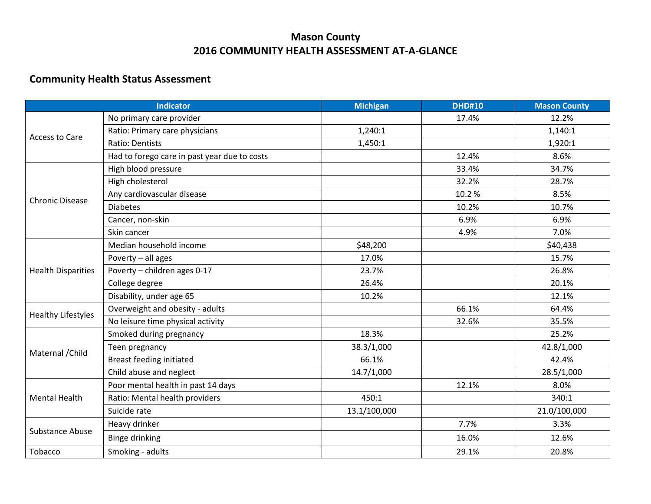## **Mason County 2016 COMMUNITY HEALTH ASSESSMENT AT-A-GLANCE**

## **Community Health Status Assessment**

| <b>Indicator</b>          |                                              | <b>Michigan</b> | <b>DHD#10</b> | <b>Mason County</b> |
|---------------------------|----------------------------------------------|-----------------|---------------|---------------------|
| <b>Access to Care</b>     | No primary care provider                     |                 | 17.4%         | 12.2%               |
|                           | Ratio: Primary care physicians               | 1,240:1         |               | 1,140:1             |
|                           | Ratio: Dentists                              | 1,450:1         |               | 1,920:1             |
|                           | Had to forego care in past year due to costs |                 | 12.4%         | 8.6%                |
| <b>Chronic Disease</b>    | High blood pressure                          |                 | 33.4%         | 34.7%               |
|                           | High cholesterol                             |                 | 32.2%         | 28.7%               |
|                           | Any cardiovascular disease                   |                 | 10.2%         | 8.5%                |
|                           | <b>Diabetes</b>                              |                 | 10.2%         | 10.7%               |
|                           | Cancer, non-skin                             |                 | 6.9%          | 6.9%                |
|                           | Skin cancer                                  |                 | 4.9%          | 7.0%                |
|                           | Median household income                      | \$48,200        |               | \$40,438            |
| <b>Health Disparities</b> | Poverty - all ages                           | 17.0%           |               | 15.7%               |
|                           | Poverty - children ages 0-17                 | 23.7%           |               | 26.8%               |
|                           | College degree                               | 26.4%           |               | 20.1%               |
|                           | Disability, under age 65                     | 10.2%           |               | 12.1%               |
| <b>Healthy Lifestyles</b> | Overweight and obesity - adults              |                 | 66.1%         | 64.4%               |
|                           | No leisure time physical activity            |                 | 32.6%         | 35.5%               |
|                           | Smoked during pregnancy                      | 18.3%           |               | 25.2%               |
|                           | Teen pregnancy                               | 38.3/1,000      |               | 42.8/1,000          |
| Maternal / Child          | Breast feeding initiated                     | 66.1%           |               | 42.4%               |
|                           | Child abuse and neglect                      | 14.7/1,000      |               | 28.5/1,000          |
| <b>Mental Health</b>      | Poor mental health in past 14 days           |                 | 12.1%         | 8.0%                |
|                           | Ratio: Mental health providers               | 450:1           |               | 340:1               |
|                           | Suicide rate                                 | 13.1/100,000    |               | 21.0/100,000        |
| <b>Substance Abuse</b>    | Heavy drinker                                |                 | 7.7%          | 3.3%                |
|                           | <b>Binge drinking</b>                        |                 | 16.0%         | 12.6%               |
| Tobacco                   | Smoking - adults                             |                 | 29.1%         | 20.8%               |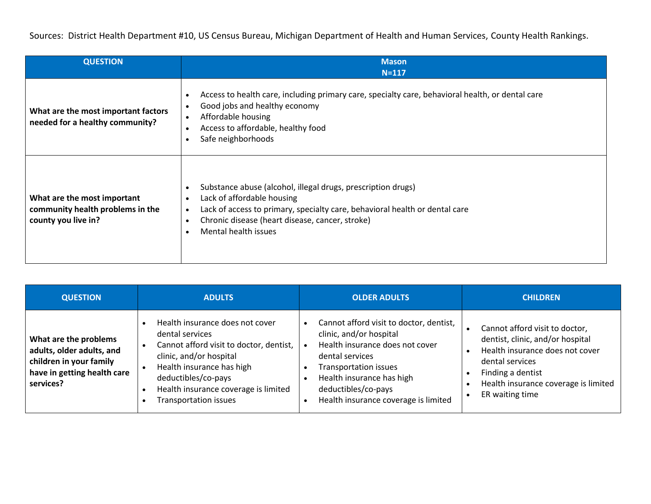Sources: District Health Department #10, US Census Bureau, Michigan Department of Health and Human Services, County Health Rankings.

| <b>QUESTION</b>                                                                        | <b>Mason</b><br>$N = 117$                                                                                                                                                                                                                                         |
|----------------------------------------------------------------------------------------|-------------------------------------------------------------------------------------------------------------------------------------------------------------------------------------------------------------------------------------------------------------------|
| What are the most important factors<br>needed for a healthy community?                 | Access to health care, including primary care, specialty care, behavioral health, or dental care<br>$\bullet$<br>Good jobs and healthy economy<br>$\bullet$<br>Affordable housing<br>Access to affordable, healthy food<br>Safe neighborhoods                     |
| What are the most important<br>community health problems in the<br>county you live in? | Substance abuse (alcohol, illegal drugs, prescription drugs)<br>Lack of affordable housing<br>Lack of access to primary, specialty care, behavioral health or dental care<br>$\bullet$<br>Chronic disease (heart disease, cancer, stroke)<br>Mental health issues |

| <b>QUESTION</b>                                                                                                           | <b>ADULTS</b>                                                                                                                                                                                                                                 | <b>OLDER ADULTS</b>                                                                                                                                                                                                                                  | <b>CHILDREN</b>                                                                                                                                                                                                                    |
|---------------------------------------------------------------------------------------------------------------------------|-----------------------------------------------------------------------------------------------------------------------------------------------------------------------------------------------------------------------------------------------|------------------------------------------------------------------------------------------------------------------------------------------------------------------------------------------------------------------------------------------------------|------------------------------------------------------------------------------------------------------------------------------------------------------------------------------------------------------------------------------------|
| What are the problems<br>adults, older adults, and<br>children in your family<br>have in getting health care<br>services? | Health insurance does not cover<br>dental services<br>Cannot afford visit to doctor, dentist,<br>clinic, and/or hospital<br>Health insurance has high<br>deductibles/co-pays<br>Health insurance coverage is limited<br>Transportation issues | Cannot afford visit to doctor, dentist,<br>clinic, and/or hospital<br>Health insurance does not cover<br>dental services<br><b>Transportation issues</b><br>Health insurance has high<br>deductibles/co-pays<br>Health insurance coverage is limited | Cannot afford visit to doctor,<br>dentist, clinic, and/or hospital<br>Health insurance does not cover<br>dental services<br>Finding a dentist<br>$\bullet$<br>Health insurance coverage is limited<br>ER waiting time<br>$\bullet$ |